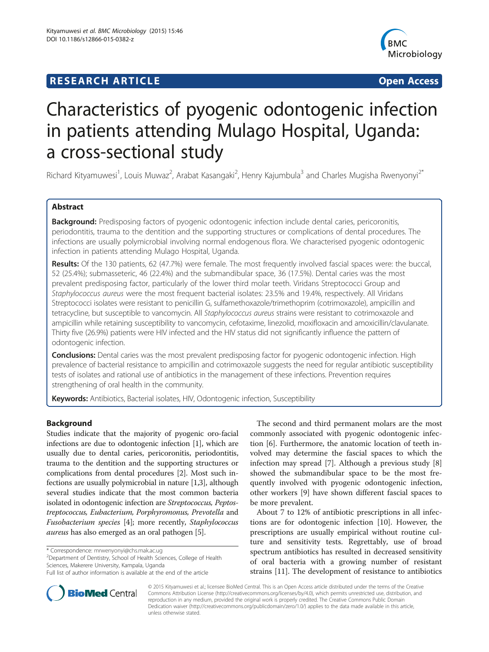## **RESEARCH ARTICLE Example 2014 CONSUMING A RESEARCH ARTICLE**



# Characteristics of pyogenic odontogenic infection in patients attending Mulago Hospital, Uganda: a cross-sectional study

Richard Kityamuwesi<sup>1</sup>, Louis Muwaz<sup>2</sup>, Arabat Kasangaki<sup>2</sup>, Henry Kajumbula<sup>3</sup> and Charles Mugisha Rwenyonyi<sup>2\*</sup>

## Abstract

Background: Predisposing factors of pyogenic odontogenic infection include dental caries, pericoronitis, periodontitis, trauma to the dentition and the supporting structures or complications of dental procedures. The infections are usually polymicrobial involving normal endogenous flora. We characterised pyogenic odontogenic infection in patients attending Mulago Hospital, Uganda.

Results: Of the 130 patients, 62 (47.7%) were female. The most frequently involved fascial spaces were: the buccal, 52 (25.4%); submasseteric, 46 (22.4%) and the submandibular space, 36 (17.5%). Dental caries was the most prevalent predisposing factor, particularly of the lower third molar teeth. Viridans Streptococci Group and Staphylococcus aureus were the most frequent bacterial isolates: 23.5% and 19.4%, respectively. All Viridans Streptococci isolates were resistant to penicillin G, sulfamethoxazole/trimethoprim (cotrimoxazole), ampicillin and tetracycline, but susceptible to vancomycin. All Staphylococcus aureus strains were resistant to cotrimoxazole and ampicillin while retaining susceptibility to vancomycin, cefotaxime, linezolid, moxifloxacin and amoxicillin/clavulanate. Thirty five (26.9%) patients were HIV infected and the HIV status did not significantly influence the pattern of odontogenic infection.

Conclusions: Dental caries was the most prevalent predisposing factor for pyogenic odontogenic infection. High prevalence of bacterial resistance to ampicillin and cotrimoxazole suggests the need for regular antibiotic susceptibility tests of isolates and rational use of antibiotics in the management of these infections. Prevention requires strengthening of oral health in the community.

Keywords: Antibiotics, Bacterial isolates, HIV, Odontogenic infection, Susceptibility

## Background

Studies indicate that the majority of pyogenic oro-facial infections are due to odontogenic infection [[1\]](#page-8-0), which are usually due to dental caries, pericoronitis, periodontitis, trauma to the dentition and the supporting structures or complications from dental procedures [[2](#page-8-0)]. Most such infections are usually polymicrobial in nature [[1,3](#page-8-0)], although several studies indicate that the most common bacteria isolated in odontogenic infection are Streptococcus, Peptostreptococcus, Eubacterium, Porphyromonus, Prevotella and Fusobacterium species [[4](#page-8-0)]; more recently, Staphylococcus aureus has also emerged as an oral pathogen [[5](#page-8-0)].

<sup>2</sup>Department of Dentistry, School of Health Sciences, College of Health Sciences, Makerere University, Kampala, Uganda

The second and third permanent molars are the most commonly associated with pyogenic odontogenic infection [[6](#page-8-0)]. Furthermore, the anatomic location of teeth involved may determine the fascial spaces to which the infection may spread [[7\]](#page-8-0). Although a previous study [\[8](#page-8-0)] showed the submandibular space to be the most frequently involved with pyogenic odontogenic infection, other workers [\[9](#page-8-0)] have shown different fascial spaces to be more prevalent.

About 7 to 12% of antibiotic prescriptions in all infections are for odontogenic infection [[10\]](#page-8-0). However, the prescriptions are usually empirical without routine culture and sensitivity tests. Regrettably, use of broad spectrum antibiotics has resulted in decreased sensitivity of oral bacteria with a growing number of resistant strains [[11\]](#page-8-0). The development of resistance to antibiotics



© 2015 Kityamuwesi et al.; licensee BioMed Central. This is an Open Access article distributed under the terms of the Creative Commons Attribution License [\(http://creativecommons.org/licenses/by/4.0\)](http://creativecommons.org/licenses/by/4.0), which permits unrestricted use, distribution, and reproduction in any medium, provided the original work is properly credited. The Creative Commons Public Domain Dedication waiver [\(http://creativecommons.org/publicdomain/zero/1.0/](http://creativecommons.org/publicdomain/zero/1.0/)) applies to the data made available in this article, unless otherwise stated.

<sup>\*</sup> Correspondence: [mrwenyonyi@chs.mak.ac.ug](mailto:mrwenyonyi@chs.mak.ac.ug) <sup>2</sup>

Full list of author information is available at the end of the article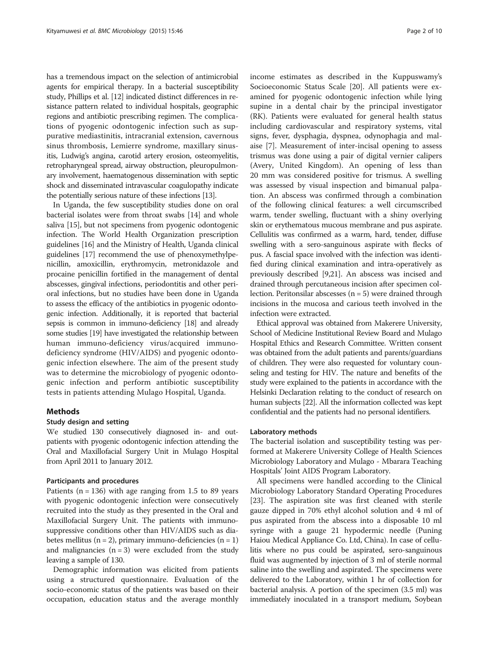has a tremendous impact on the selection of antimicrobial agents for empirical therapy. In a bacterial susceptibility study, Phillips et al. [\[12\]](#page-8-0) indicated distinct differences in resistance pattern related to individual hospitals, geographic regions and antibiotic prescribing regimen. The complications of pyogenic odontogenic infection such as suppurative mediastinitis, intracranial extension, cavernous sinus thrombosis, Lemierre syndrome, maxillary sinusitis, Ludwig's angina, carotid artery erosion, osteomyelitis, retropharyngeal spread, airway obstruction, pleuropulmonary involvement, haematogenous dissemination with septic shock and disseminated intravascular coagulopathy indicate the potentially serious nature of these infections [[13\]](#page-8-0).

In Uganda, the few susceptibility studies done on oral bacterial isolates were from throat swabs [[14](#page-8-0)] and whole saliva [\[15](#page-8-0)], but not specimens from pyogenic odontogenic infection. The World Health Organization prescription guidelines [\[16\]](#page-8-0) and the Ministry of Health, Uganda clinical guidelines [\[17\]](#page-8-0) recommend the use of phenoxymethylpenicillin, amoxicillin, erythromycin, metronidazole and procaine penicillin fortified in the management of dental abscesses, gingival infections, periodontitis and other perioral infections, but no studies have been done in Uganda to assess the efficacy of the antibiotics in pyogenic odontogenic infection. Additionally, it is reported that bacterial sepsis is common in immuno-deficiency [\[18\]](#page-8-0) and already some studies [\[19](#page-8-0)] have investigated the relationship between human immuno-deficiency virus/acquired immunodeficiency syndrome (HIV/AIDS) and pyogenic odontogenic infection elsewhere. The aim of the present study was to determine the microbiology of pyogenic odontogenic infection and perform antibiotic susceptibility tests in patients attending Mulago Hospital, Uganda.

#### Methods

## Study design and setting

We studied 130 consecutively diagnosed in- and outpatients with pyogenic odontogenic infection attending the Oral and Maxillofacial Surgery Unit in Mulago Hospital from April 2011 to January 2012.

## Participants and procedures

Patients ( $n = 136$ ) with age ranging from 1.5 to 89 years with pyogenic odontogenic infection were consecutively recruited into the study as they presented in the Oral and Maxillofacial Surgery Unit. The patients with immunosuppressive conditions other than HIV/AIDS such as diabetes mellitus (n = 2), primary immuno-deficiencies (n = 1) and malignancies  $(n = 3)$  were excluded from the study leaving a sample of 130.

Demographic information was elicited from patients using a structured questionnaire. Evaluation of the socio-economic status of the patients was based on their occupation, education status and the average monthly income estimates as described in the Kuppuswamy's Socioeconomic Status Scale [[20\]](#page-9-0). All patients were examined for pyogenic odontogenic infection while lying supine in a dental chair by the principal investigator (RK). Patients were evaluated for general health status including cardiovascular and respiratory systems, vital signs, fever, dysphagia, dyspnea, odynophagia and malaise [[7\]](#page-8-0). Measurement of inter-incisal opening to assess trismus was done using a pair of digital vernier calipers (Avery, United Kingdom). An opening of less than 20 mm was considered positive for trismus. A swelling was assessed by visual inspection and bimanual palpation. An abscess was confirmed through a combination of the following clinical features: a well circumscribed warm, tender swelling, fluctuant with a shiny overlying skin or erythematous mucous membrane and pus aspirate. Cellulitis was confirmed as a warm, hard, tender, diffuse swelling with a sero-sanguinous aspirate with flecks of pus. A fascial space involved with the infection was identified during clinical examination and intra-operatively as previously described [\[9](#page-8-0)[,21\]](#page-9-0). An abscess was incised and drained through percutaneous incision after specimen collection. Peritonsilar abscesses ( $n = 5$ ) were drained through incisions in the mucosa and carious teeth involved in the infection were extracted.

Ethical approval was obtained from Makerere University, School of Medicine Institutional Review Board and Mulago Hospital Ethics and Research Committee. Written consent was obtained from the adult patients and parents/guardians of children. They were also requested for voluntary counseling and testing for HIV. The nature and benefits of the study were explained to the patients in accordance with the Helsinki Declaration relating to the conduct of research on human subjects [\[22](#page-9-0)]. All the information collected was kept confidential and the patients had no personal identifiers.

#### Laboratory methods

The bacterial isolation and susceptibility testing was performed at Makerere University College of Health Sciences Microbiology Laboratory and Mulago - Mbarara Teaching Hospitals' Joint AIDS Program Laboratory.

All specimens were handled according to the Clinical Microbiology Laboratory Standard Operating Procedures [[23\]](#page-9-0). The aspiration site was first cleaned with sterile gauze dipped in 70% ethyl alcohol solution and 4 ml of pus aspirated from the abscess into a disposable 10 ml syringe with a gauge 21 hypodermic needle (Puning Haiou Medical Appliance Co. Ltd, China). In case of cellulitis where no pus could be aspirated, sero-sanguinous fluid was augmented by injection of 3 ml of sterile normal saline into the swelling and aspirated. The specimens were delivered to the Laboratory, within 1 hr of collection for bacterial analysis. A portion of the specimen (3.5 ml) was immediately inoculated in a transport medium, Soybean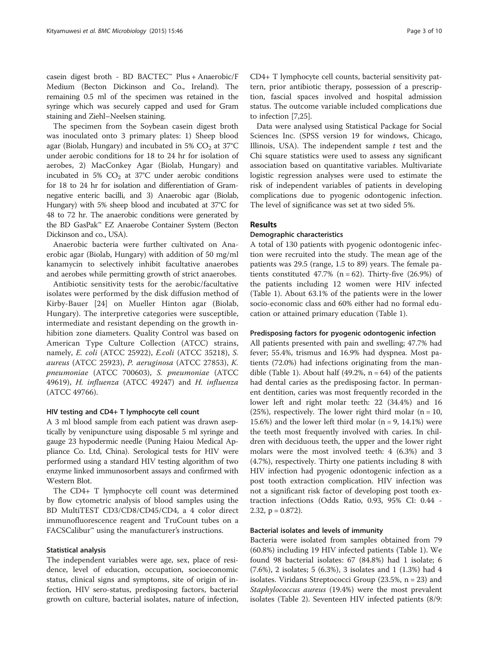casein digest broth - BD BACTEC™ Plus + Anaerobic/F Medium (Becton Dickinson and Co., Ireland). The remaining 0.5 ml of the specimen was retained in the syringe which was securely capped and used for Gram staining and Ziehl–Neelsen staining.

The specimen from the Soybean casein digest broth was inoculated onto 3 primary plates: 1) Sheep blood agar (Biolab, Hungary) and incubated in 5%  $CO<sub>2</sub>$  at 37°C under aerobic conditions for 18 to 24 hr for isolation of aerobes, 2) MacConkey Agar (Biolab, Hungary) and incubated in 5%  $CO<sub>2</sub>$  at 37°C under aerobic conditions for 18 to 24 hr for isolation and differentiation of Gramnegative enteric bacilli, and 3) Anaerobic agar (Biolab, Hungary) with 5% sheep blood and incubated at 37°C for 48 to 72 hr. The anaerobic conditions were generated by the BD GasPak™ EZ Anaerobe Container System (Becton Dickinson and co., USA).

Anaerobic bacteria were further cultivated on Anaerobic agar (Biolab, Hungary) with addition of 50 mg/ml kanamycin to selectively inhibit facultative anaerobes and aerobes while permitting growth of strict anaerobes.

Antibiotic sensitivity tests for the aerobic/facultative isolates were performed by the disk diffusion method of Kirby-Bauer [[24](#page-9-0)] on Mueller Hinton agar (Biolab, Hungary). The interpretive categories were susceptible, intermediate and resistant depending on the growth inhibition zone diameters. Quality Control was based on American Type Culture Collection (ATCC) strains, namely, E. coli (ATCC 25922), E.coli (ATCC 35218), S. aureus (ATCC 25923), P. aeruginosa (ATCC 27853), K. pneumoniae (ATCC 700603), S. pneumoniae (ATCC 49619), H. influenza (ATCC 49247) and H. influenza (ATCC 49766).

## HIV testing and CD4+ T lymphocyte cell count

A 3 ml blood sample from each patient was drawn aseptically by venipuncture using disposable 5 ml syringe and gauge 23 hypodermic needle (Puning Haiou Medical Appliance Co. Ltd, China). Serological tests for HIV were performed using a standard HIV testing algorithm of two enzyme linked immunosorbent assays and confirmed with Western Blot.

The CD4+ T lymphocyte cell count was determined by flow cytometric analysis of blood samples using the BD MultiTEST CD3/CD8/CD45/CD4, a 4 color direct immunofluorescence reagent and TruCount tubes on a  $\text{FACSCalibur}^{\mathsf{m}}$  using the manufacturer's instructions.

## Statistical analysis

The independent variables were age, sex, place of residence, level of education, occupation, socioeconomic status, clinical signs and symptoms, site of origin of infection, HIV sero-status, predisposing factors, bacterial growth on culture, bacterial isolates, nature of infection, CD4+ T lymphocyte cell counts, bacterial sensitivity pattern, prior antibiotic therapy, possession of a prescription, fascial spaces involved and hospital admission status. The outcome variable included complications due to infection [\[7](#page-8-0)[,25\]](#page-9-0).

Data were analysed using Statistical Package for Social Sciences Inc. (SPSS version 19 for windows, Chicago, Illinois, USA). The independent sample  $t$  test and the Chi square statistics were used to assess any significant association based on quantitative variables. Multivariate logistic regression analyses were used to estimate the risk of independent variables of patients in developing complications due to pyogenic odontogenic infection. The level of significance was set at two sided 5%.

## Results

## Demographic characteristics

A total of 130 patients with pyogenic odontogenic infection were recruited into the study. The mean age of the patients was 29.5 (range, 1.5 to 89) years. The female patients constituted 47.7% ( $n = 62$ ). Thirty-five (26.9%) of the patients including 12 women were HIV infected (Table [1](#page-3-0)). About 63.1% of the patients were in the lower socio-economic class and 60% either had no formal education or attained primary education (Table [1](#page-3-0)).

## Predisposing factors for pyogenic odontogenic infection

All patients presented with pain and swelling; 47.7% had fever; 55.4%, trismus and 16.9% had dyspnea. Most patients (72.0%) had infections originating from the man-dible (Table [1\)](#page-3-0). About half (49.2%,  $n = 64$ ) of the patients had dental caries as the predisposing factor. In permanent dentition, caries was most frequently recorded in the lower left and right molar teeth: 22 (34.4%) and 16 (25%), respectively. The lower right third molar ( $n = 10$ , 15.6%) and the lower left third molar  $(n = 9, 14.1\%)$  were the teeth most frequently involved with caries. In children with deciduous teeth, the upper and the lower right molars were the most involved teeth: 4 (6.3%) and 3 (4.7%), respectively. Thirty one patients including 8 with HIV infection had pyogenic odontogenic infection as a post tooth extraction complication. HIV infection was not a significant risk factor of developing post tooth extraction infections (Odds Ratio, 0.93, 95% CI: 0.44 - 2.32,  $p = 0.872$ ).

## Bacterial isolates and levels of immunity

Bacteria were isolated from samples obtained from 79 (60.8%) including 19 HIV infected patients (Table [1\)](#page-3-0). We found 98 bacterial isolates: 67 (84.8%) had 1 isolate; 6 (7.6%), 2 isolates; 5 (6.3%), 3 isolates and 1 (1.3%) had 4 isolates. Viridans Streptococci Group (23.5%, n = 23) and Staphylococcus aureus (19.4%) were the most prevalent isolates (Table [2](#page-4-0)). Seventeen HIV infected patients (8/9: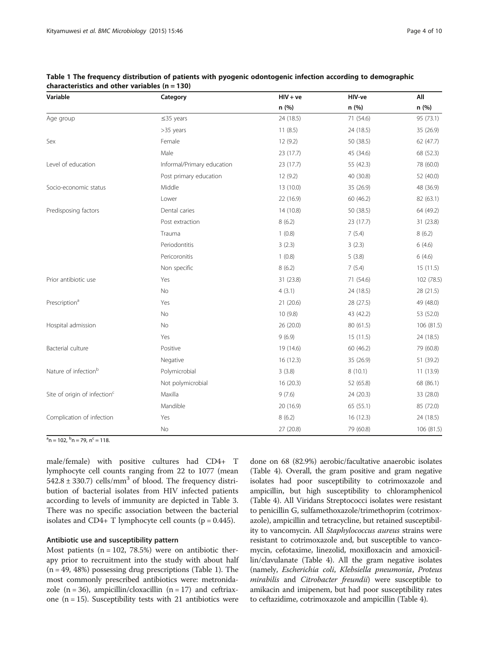| Variable                                 | Category                   | $HIV + ve$ | HIV-ve    | Αll        |
|------------------------------------------|----------------------------|------------|-----------|------------|
|                                          |                            | n(%)       | n (%)     | n (%)      |
| Age group                                | $\leq$ 35 years            | 24 (18.5)  | 71 (54.6) | 95 (73.1)  |
|                                          | >35 years                  | 11(8.5)    | 24 (18.5) | 35 (26.9)  |
| Sex                                      | Female                     | 12(9.2)    | 50 (38.5) | 62 (47.7)  |
|                                          | Male                       | 23 (17.7)  | 45 (34.6) | 68 (52.3)  |
| Level of education                       | Informal/Primary education | 23 (17.7)  | 55 (42.3) | 78 (60.0)  |
|                                          | Post primary education     | 12(9.2)    | 40 (30.8) | 52 (40.0)  |
| Socio-economic status                    | Middle                     | 13 (10.0)  | 35 (26.9) | 48 (36.9)  |
|                                          | Lower                      | 22 (16.9)  | 60 (46.2) | 82 (63.1)  |
| Predisposing factors                     | Dental caries              | 14 (10.8)  | 50 (38.5) | 64 (49.2)  |
|                                          | Post extraction            | 8(6.2)     | 23 (17.7) | 31 (23.8)  |
|                                          | Trauma                     | 1(0.8)     | 7(5.4)    | 8(6.2)     |
|                                          | Periodontitis              | 3(2.3)     | 3(2.3)    | 6(4.6)     |
|                                          | Pericoronitis              | 1(0.8)     | 5(3.8)    | 6(4.6)     |
|                                          | Non specific               | 8(6.2)     | 7(5.4)    | 15 (11.5)  |
| Prior antibiotic use                     | Yes                        | 31 (23.8)  | 71 (54.6) | 102 (78.5) |
|                                          | No                         | 4(3.1)     | 24 (18.5) | 28 (21.5)  |
| Prescription <sup>a</sup>                | Yes                        | 21(20.6)   | 28 (27.5) | 49 (48.0)  |
|                                          | N <sub>o</sub>             | 10(9.8)    | 43 (42.2) | 53 (52.0)  |
| Hospital admission                       | No                         | 26 (20.0)  | 80 (61.5) | 106 (81.5) |
|                                          | Yes                        | 9(6.9)     | 15 (11.5) | 24 (18.5)  |
| Bacterial culture                        | Positive                   | 19 (14.6)  | 60 (46.2) | 79 (60.8)  |
|                                          | Negative                   | 16(12.3)   | 35 (26.9) | 51 (39.2)  |
| Nature of infection <sup>b</sup>         | Polymicrobial              | 3(3.8)     | 8(10.1)   | 11(13.9)   |
|                                          | Not polymicrobial          | 16(20.3)   | 52 (65.8) | 68 (86.1)  |
| Site of origin of infection <sup>c</sup> | Maxilla                    | 9(7.6)     | 24 (20.3) | 33 (28.0)  |
|                                          | Mandible                   | 20 (16.9)  | 65 (55.1) | 85 (72.0)  |
| Complication of infection                | Yes                        | 8(6.2)     | 16(12.3)  | 24 (18.5)  |
|                                          | No                         | 27 (20.8)  | 79 (60.8) | 106 (81.5) |

<span id="page-3-0"></span>Table 1 The frequency distribution of patients with pyogenic odontogenic infection according to demographic characteristics and other variables  $(n = 130)$ 

 $n<sup>a</sup>$ n = 102,  $n<sup>c</sup>$  = 118.

male/female) with positive cultures had CD4+ T lymphocyte cell counts ranging from 22 to 1077 (mean 542.8  $\pm$  330.7) cells/mm<sup>3</sup> of blood. The frequency distribution of bacterial isolates from HIV infected patients according to levels of immunity are depicted in Table [3](#page-4-0). There was no specific association between the bacterial isolates and CD4+ T lymphocyte cell counts ( $p = 0.445$ ).

## Antibiotic use and susceptibility pattern

Most patients ( $n = 102, 78.5\%$ ) were on antibiotic therapy prior to recruitment into the study with about half  $(n = 49, 48%)$  possessing drug prescriptions (Table 1). The most commonly prescribed antibiotics were: metronidazole  $(n = 36)$ , ampicillin/cloxacillin  $(n = 17)$  and ceftriaxone  $(n = 15)$ . Susceptibility tests with 21 antibiotics were

done on 68 (82.9%) aerobic/facultative anaerobic isolates (Table [4\)](#page-5-0). Overall, the gram positive and gram negative isolates had poor susceptibility to cotrimoxazole and ampicillin, but high susceptibility to chloramphenicol (Table [4\)](#page-5-0). All Viridans Streptococci isolates were resistant to penicillin G, sulfamethoxazole/trimethoprim (cotrimoxazole), ampicillin and tetracycline, but retained susceptibility to vancomycin. All Staphylococcus aureus strains were resistant to cotrimoxazole and, but susceptible to vancomycin, cefotaxime, linezolid, moxifloxacin and amoxicillin/clavulanate (Table [4](#page-5-0)). All the gram negative isolates (namely, Escherichia coli, Klebsiella pneumonia, Proteus mirabilis and Citrobacter freundii) were susceptible to amikacin and imipenem, but had poor susceptibility rates to ceftazidime, cotrimoxazole and ampicillin (Table [4](#page-5-0)).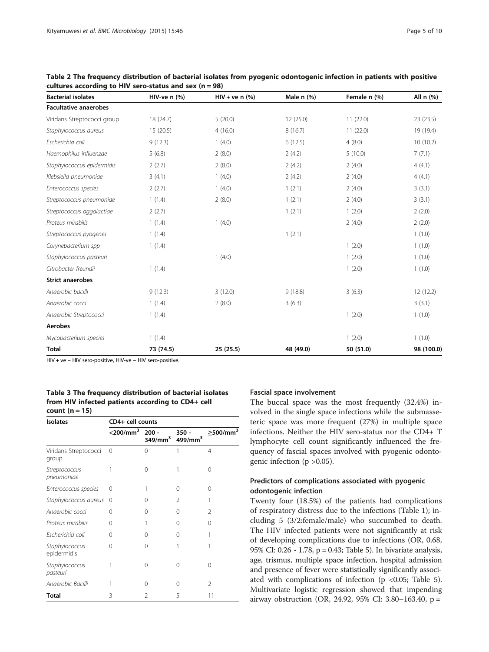| <b>Bacterial isolates</b>    | HIV-ve $n$ (%) | $HIV + ve n$ (%) | Male $n$ $(\%)$ | Female n (%) | All n (%)  |
|------------------------------|----------------|------------------|-----------------|--------------|------------|
| <b>Facultative anaerobes</b> |                |                  |                 |              |            |
| Viridans Streptococci group  | 18 (24.7)      | 5(20.0)          | 12(25.0)        | 11(22.0)     | 23(23.5)   |
| Staphylococcus aureus        | 15(20.5)       | 4(16.0)          | 8(16.7)         | 11(22.0)     | 19 (19.4)  |
| Escherichia coli             | 9(12.3)        | 1(4.0)           | 6(12.5)         | 4(8.0)       | 10(10.2)   |
| Haemophilus influenzae       | 5(6.8)         | 2(8.0)           | 2(4.2)          | 5(10.0)      | 7(7.1)     |
| Staphylococcus epidermidis   | 2(2.7)         | 2(8.0)           | 2(4.2)          | 2(4.0)       | 4(4.1)     |
| Klebsiella pneumoniae        | 3(4.1)         | 1(4.0)           | 2(4.2)          | 2(4.0)       | 4(4.1)     |
| Enterococcus species         | 2(2.7)         | 1(4.0)           | 1(2.1)          | 2(4.0)       | 3(3.1)     |
| Streptococcus pneumoniae     | 1(1.4)         | 2(8.0)           | 1(2.1)          | 2(4.0)       | 3(3.1)     |
| Streptococcus aggalactiae    | 2(2.7)         |                  | 1(2.1)          | 1(2.0)       | 2(2.0)     |
| Proteus mirabilis            | 1(1.4)         | 1(4.0)           |                 | 2(4.0)       | 2(2.0)     |
| Streptococcus pyogenes       | 1(1.4)         |                  | 1(2.1)          |              | 1(1.0)     |
| Corynebacterium spp          | 1(1.4)         |                  |                 | 1(2.0)       | 1(1.0)     |
| Staphylococcus pasteuri      |                | 1(4.0)           |                 | 1(2.0)       | 1(1.0)     |
| Citrobacter freundii         | 1(1.4)         |                  |                 | 1(2.0)       | 1(1.0)     |
| <b>Strict anaerobes</b>      |                |                  |                 |              |            |
| Anaerobic bacilli            | 9(12.3)        | 3(12.0)          | 9(18.8)         | 3(6.3)       | 12(12.2)   |
| Anaerobic cocci              | 1(1.4)         | 2(8.0)           | 3(6.3)          |              | 3(3.1)     |
| Anaerobic Streptococci       | 1(1.4)         |                  |                 | 1(2.0)       | 1(1.0)     |
| <b>Aerobes</b>               |                |                  |                 |              |            |
| Mycobacterium species        | 1(1.4)         |                  |                 | 1(2.0)       | 1(1.0)     |
| <b>Total</b>                 | 73 (74.5)      | 25 (25.5)        | 48 (49.0)       | 50 (51.0)    | 98 (100.0) |

<span id="page-4-0"></span>Table 2 The frequency distribution of bacterial isolates from pyogenic odontogenic infection in patients with positive cultures according to HIV sero-status and sex ( $n = 98$ )

HIV + ve – HIV sero-positive, HIV-ve – HIV sero-positive.

Table 3 The frequency distribution of bacterial isolates from HIV infected patients according to CD4+ cell count  $(n = 15)$ 

| <b>Isolates</b>                    | CD4+ cell counts        |                                |                                |                            |  |  |  |
|------------------------------------|-------------------------|--------------------------------|--------------------------------|----------------------------|--|--|--|
|                                    | $<$ 200/mm <sup>3</sup> | $200 -$<br>349/mm <sup>3</sup> | $350 -$<br>499/mm <sup>3</sup> | $\geq$ 500/mm <sup>3</sup> |  |  |  |
| Viridans Streptococci<br>group     | $\Omega$                | 0                              | 1                              | $\overline{4}$             |  |  |  |
| <b>Streptococcus</b><br>pneumoniae |                         | 0                              |                                | Ω                          |  |  |  |
| Enterococcus species               | 0                       |                                | 0                              | 0                          |  |  |  |
| Staphylococcus aureus              | 0                       | $\left( \right)$               | $\mathcal{P}$                  |                            |  |  |  |
| Anaerobic cocci                    | 0                       | 0                              | $\Omega$                       | 2                          |  |  |  |
| Proteus mirabilis                  | 0                       | 1                              | 0                              | 0                          |  |  |  |
| Escherichia coli                   | ∩                       | 0                              | 0                              |                            |  |  |  |
| Staphylococcus<br>epidermidis      | 0                       | 0                              |                                |                            |  |  |  |
| Staphylococcus<br>pasteuri         |                         | 0                              | $\Omega$                       | 0                          |  |  |  |
| Anaerobic Bacilli                  |                         | 0                              | $\Omega$                       | 2                          |  |  |  |
| <b>Total</b>                       | 3                       | $\mathcal{P}$                  | 5                              | 11                         |  |  |  |

## Fascial space involvement

The buccal space was the most frequently (32.4%) involved in the single space infections while the submasseteric space was more frequent (27%) in multiple space infections. Neither the HIV sero-status nor the CD4+ T lymphocyte cell count significantly influenced the frequency of fascial spaces involved with pyogenic odontogenic infection ( $p > 0.05$ ).

## Predictors of complications associated with pyogenic odontogenic infection

Twenty four (18.5%) of the patients had complications of respiratory distress due to the infections (Table [1\)](#page-3-0); including 5 (3/2:female/male) who succumbed to death. The HIV infected patients were not significantly at risk of developing complications due to infections (OR, 0.68, 95% CI: 0.26 - 1.78, p = 0.43; Table [5](#page-6-0)). In bivariate analysis, age, trismus, multiple space infection, hospital admission and presence of fever were statistically significantly associated with complications of infection ( $p \lt 0.05$ ; Table [5](#page-6-0)). Multivariate logistic regression showed that impending airway obstruction (OR, 24.92, 95% CI: 3.80–163.40, p =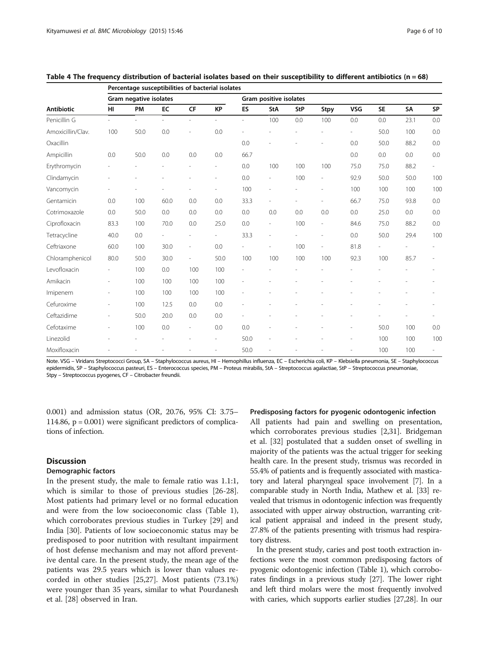|                   | Percentage susceptibilities of bacterial isolates |      |      |                          |                          |                        |                          |     |                          |            |           |      |                          |
|-------------------|---------------------------------------------------|------|------|--------------------------|--------------------------|------------------------|--------------------------|-----|--------------------------|------------|-----------|------|--------------------------|
|                   | Gram negative isolates                            |      |      |                          |                          | Gram positive isolates |                          |     |                          |            |           |      |                          |
| <b>Antibiotic</b> | HI                                                | PM   | EC   | <b>CF</b>                | <b>KP</b>                | ES                     | <b>StA</b>               | StP | Stpy                     | <b>VSG</b> | <b>SE</b> | SA   | <b>SP</b>                |
| Penicillin G      |                                                   |      | ÷    | L.                       |                          | ÷                      | 100                      | 0.0 | 100                      | 0.0        | 0.0       | 23.1 | 0.0                      |
| Amoxicillin/Clav. | 100                                               | 50.0 | 0.0  | i,                       | 0.0                      |                        |                          |     |                          |            | 50.0      | 100  | 0.0                      |
| Oxacillin         |                                                   |      |      |                          |                          | 0.0                    |                          |     |                          | 0.0        | 50.0      | 88.2 | 0.0                      |
| Ampicillin        | 0.0                                               | 50.0 | 0.0  | 0.0                      | 0.0                      | 66.7                   |                          |     |                          | 0.0        | 0.0       | 0.0  | 0.0                      |
| Erythromycin      |                                                   |      |      | ÷,                       | $\overline{a}$           | 0.0                    | 100                      | 100 | 100                      | 75.0       | 75.0      | 88.2 | $\overline{\phantom{0}}$ |
| Clindamycin       |                                                   |      |      |                          | $\overline{\phantom{a}}$ | 0.0                    | $\overline{\phantom{0}}$ | 100 | $\overline{\phantom{a}}$ | 92.9       | 50.0      | 50.0 | 100                      |
| Vancomycin        |                                                   |      |      |                          | ÷.                       | 100                    | L,                       |     | ٠                        | 100        | 100       | 100  | 100                      |
| Gentamicin        | 0.0                                               | 100  | 60.0 | 0.0                      | 0.0                      | 33.3                   | L,                       |     |                          | 66.7       | 75.0      | 93.8 | 0.0                      |
| Cotrimoxazole     | 0.0                                               | 50.0 | 0.0  | 0.0                      | 0.0                      | 0.0                    | 0.0                      | 0.0 | 0.0                      | 0.0        | 25.0      | 0.0  | 0.0                      |
| Ciprofloxacin     | 83.3                                              | 100  | 70.0 | 0.0                      | 25.0                     | 0.0                    | $\overline{\phantom{a}}$ | 100 | $\overline{\phantom{a}}$ | 84.6       | 75.0      | 88.2 | 0.0                      |
| Tetracycline      | 40.0                                              | 0.0  |      | L,                       | $\overline{a}$           | 33.3                   | L,                       |     | $\overline{\phantom{a}}$ | 0.0        | 50.0      | 29.4 | 100                      |
| Ceftriaxone       | 60.0                                              | 100  | 30.0 | L,                       | 0.0                      |                        | ٠                        | 100 | ٠                        | 81.8       |           |      |                          |
| Chloramphenicol   | 80.0                                              | 50.0 | 30.0 | ÷,                       | 50.0                     | 100                    | 100                      | 100 | 100                      | 92.3       | 100       | 85.7 |                          |
| Levofloxacin      | $\overline{\phantom{a}}$                          | 100  | 0.0  | 100                      | 100                      |                        |                          |     |                          |            |           |      |                          |
| Amikacin          | $\overline{\phantom{a}}$                          | 100  | 100  | 100                      | 100                      |                        | L,                       |     |                          |            |           |      |                          |
| Imipenem          |                                                   | 100  | 100  | 100                      | 100                      |                        |                          |     |                          |            |           |      |                          |
| Cefuroxime        |                                                   | 100  | 12.5 | 0.0                      | 0.0                      |                        |                          |     |                          |            |           |      |                          |
| Ceftazidime       |                                                   | 50.0 | 20.0 | 0.0                      | 0.0                      |                        |                          |     |                          |            |           |      |                          |
| Cefotaxime        |                                                   | 100  | 0.0  | $\overline{\phantom{a}}$ | 0.0                      | 0.0                    |                          |     |                          |            | 50.0      | 100  | 0.0                      |
| Linezolid         |                                                   |      |      |                          | $\overline{a}$           | 50.0                   | L,                       |     |                          |            | 100       | 100  | 100                      |
| Moxifloxacin      |                                                   |      |      |                          |                          | 50.0                   |                          |     |                          |            | 100       | 100  |                          |

<span id="page-5-0"></span>

| Table 4 The frequency distribution of bacterial isolates based on their susceptibility to different antibiotics ( $n = 68$ ) |  |  |
|------------------------------------------------------------------------------------------------------------------------------|--|--|
|                                                                                                                              |  |  |

Note. VSG – Viridans Streptococci Group, SA – Staphylococcus aureus, HI – Hemophillus influenza, EC – Escherichia coli, KP – Klebsiella pneumonia, SE – Staphylococcus epidermidis, SP – Staphylococcus pasteuri, ES – Enterococcus species, PM – Proteus mirabilis, StA – Streptococcus agalactiae, StP – Streptococcus pneumoniae, Stpy – Streptococcus pyogenes, CF – Citrobacter freundii.

0.001) and admission status (OR, 20.76, 95% CI: 3.75– 114.86,  $p = 0.001$ ) were significant predictors of complications of infection.

## **Discussion**

### Demographic factors

In the present study, the male to female ratio was 1.1:1, which is similar to those of previous studies [\[26-28](#page-9-0)]. Most patients had primary level or no formal education and were from the low socioeconomic class (Table [1](#page-3-0)), which corroborates previous studies in Turkey [[29\]](#page-9-0) and India [\[30](#page-9-0)]. Patients of low socioeconomic status may be predisposed to poor nutrition with resultant impairment of host defense mechanism and may not afford preventive dental care. In the present study, the mean age of the patients was 29.5 years which is lower than values recorded in other studies [\[25,27](#page-9-0)]. Most patients (73.1%) were younger than 35 years, similar to what Pourdanesh et al. [\[28](#page-9-0)] observed in Iran.

## Predisposing factors for pyogenic odontogenic infection

All patients had pain and swelling on presentation, which corroborates previous studies [[2,](#page-8-0)[31\]](#page-9-0). Bridgeman et al. [\[32](#page-9-0)] postulated that a sudden onset of swelling in majority of the patients was the actual trigger for seeking health care. In the present study, trismus was recorded in 55.4% of patients and is frequently associated with masticatory and lateral pharyngeal space involvement [[7\]](#page-8-0). In a comparable study in North India, Mathew et al. [[33](#page-9-0)] revealed that trismus in odontogenic infection was frequently associated with upper airway obstruction, warranting critical patient appraisal and indeed in the present study, 27.8% of the patients presenting with trismus had respiratory distress.

In the present study, caries and post tooth extraction infections were the most common predisposing factors of pyogenic odontogenic infection (Table [1\)](#page-3-0), which corroborates findings in a previous study [\[27\]](#page-9-0). The lower right and left third molars were the most frequently involved with caries, which supports earlier studies [[27,28\]](#page-9-0). In our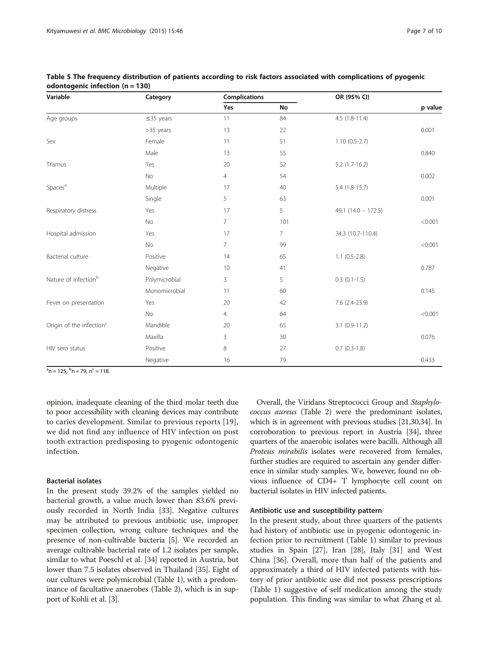| Variable                             | Category        | <b>Complications</b> |           | OR (95% CI)           |         |  |
|--------------------------------------|-----------------|----------------------|-----------|-----------------------|---------|--|
|                                      |                 | Yes                  | <b>No</b> |                       | p value |  |
| Age groups                           | $\leq$ 35 years | 11                   | 84        | $4.5(1.8-11.4)$       |         |  |
|                                      | >35 years       | 13                   | 22        |                       | 0.001   |  |
| Sex                                  | Female          | 11                   | 51        | $1.10(0.5-2.7)$       |         |  |
|                                      | Male            | 13                   | 55        |                       | 0.840   |  |
| Trismus                              | Yes             | 20                   | 52        | $5.2$ (1.7-16.2)      |         |  |
|                                      | No              | $\overline{4}$       | 54        |                       | 0.002   |  |
| Spaces <sup>a</sup>                  | Multiple        | 17                   | 40        | $5.4(1.8-15.7)$       |         |  |
|                                      | Single          | 5                    | 63        |                       | 0.001   |  |
| Respiratory distress                 | Yes             | 17                   | 5         | 49.1 $(14.0 - 172.5)$ |         |  |
|                                      | No              | $\overline{7}$       | 101       |                       | < 0.001 |  |
| Hospital admission                   | Yes             | 17                   | 7         | 34.3 (10.7-110.4)     |         |  |
|                                      | No              | $\overline{7}$       | 99        |                       | < 0.001 |  |
| Bacterial culture                    | Positive        | 14                   | 65        | $1.1(0.5-2.8)$        |         |  |
|                                      | Negative        | 10                   | 41        |                       | 0.787   |  |
| Nature of infection <sup>b</sup>     | Polymicrobial   | 3                    | 5         | $0.3$ $(0.1 - 1.5)$   |         |  |
|                                      | Monomicrobial   | 11                   | 60        |                       | 0.145   |  |
| Fever on presentation                | Yes             | 20                   | 42        | 7.6 (2.4-23.9)        |         |  |
|                                      | No              | $\overline{4}$       | 64        |                       | < 0.001 |  |
| Origin of the infection <sup>c</sup> | Mandible        | 20                   | 65        | $3.1(0.9-11.2)$       |         |  |
|                                      | Maxilla         | 3                    | 30        |                       | 0.076   |  |
| HIV sero status                      | Positive        | 8                    | 27        | $0.7(0.3-1.8)$        |         |  |
|                                      | Negative        | 16                   | 79        |                       | 0.433   |  |

<span id="page-6-0"></span>

| Table 5 The frequency distribution of patients according to risk factors associated with complications of pyogenic |  |
|--------------------------------------------------------------------------------------------------------------------|--|
| odontogenic infection ( $n = 130$ )                                                                                |  |

 $n<sup>a</sup>$ n = 125,  $n<sup>b</sup>$ n = 79, n $<sup>c</sup>$  = 118.</sup>

opinion, inadequate cleaning of the third molar teeth due to poor accessibility with cleaning devices may contribute to caries development. Similar to previous reports [[19\]](#page-8-0), we did not find any influence of HIV infection on post tooth extraction predisposing to pyogenic odontogenic infection.

## Bacterial isolates

In the present study 39.2% of the samples yielded no bacterial growth, a value much lower than 83.6% previously recorded in North India [[33\]](#page-9-0). Negative cultures may be attributed to previous antibiotic use, improper specimen collection, wrong culture techniques and the presence of non-cultivable bacteria [\[5](#page-8-0)]. We recorded an average cultivable bacterial rate of 1.2 isolates per sample, similar to what Poeschl et al. [\[34\]](#page-9-0) reported in Austria, but lower than 7.5 isolates observed in Thailand [\[35\]](#page-9-0). Eight of our cultures were polymicrobial (Table [1](#page-3-0)), with a predominance of facultative anaerobes (Table [2\)](#page-4-0), which is in support of Kohli et al. [\[3](#page-8-0)].

Overall, the Viridans Streptococci Group and Staphylococcus aureus (Table [2](#page-4-0)) were the predominant isolates, which is in agreement with previous studies [[21,30,34\]](#page-9-0). In corroboration to previous report in Austria [\[34\]](#page-9-0), three quarters of the anaerobic isolates were bacilli. Although all Proteus mirabilis isolates were recovered from females, further studies are required to ascertain any gender difference in similar study samples. We, however, found no obvious influence of CD4+ T lymphocyte cell count on bacterial isolates in HIV infected patients.

## Antibiotic use and susceptibility pattern

In the present study, about three quarters of the patients had history of antibiotic use in pyogenic odontogenic infection prior to recruitment (Table [1](#page-3-0)) similar to previous studies in Spain [[27\]](#page-9-0), Iran [\[28](#page-9-0)], Italy [[31\]](#page-9-0) and West China [\[36](#page-9-0)]. Overall, more than half of the patients and approximately a third of HIV infected patients with history of prior antibiotic use did not possess prescriptions (Table [1\)](#page-3-0) suggestive of self medication among the study population. This finding was similar to what Zhang et al.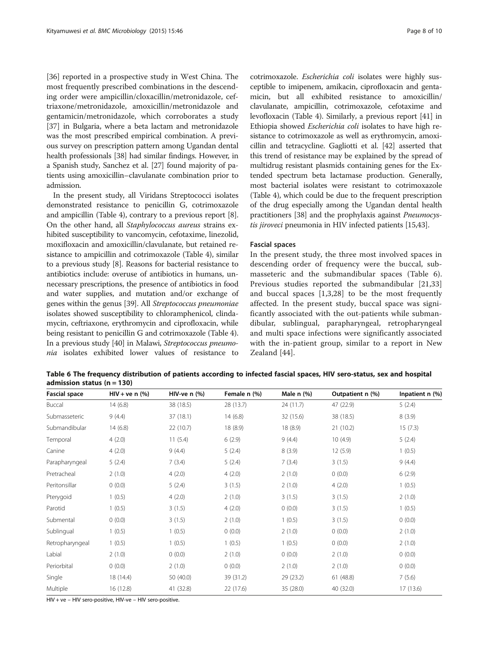[[36\]](#page-9-0) reported in a prospective study in West China. The most frequently prescribed combinations in the descending order were ampicillin/cloxacillin/metronidazole, ceftriaxone/metronidazole, amoxicillin/metronidazole and gentamicin/metronidazole, which corroborates a study [[37\]](#page-9-0) in Bulgaria, where a beta lactam and metronidazole was the most prescribed empirical combination. A previous survey on prescription pattern among Ugandan dental health professionals [[38](#page-9-0)] had similar findings. However, in a Spanish study, Sanchez et al. [\[27\]](#page-9-0) found majority of patients using amoxicillin–clavulanate combination prior to admission.

In the present study, all Viridans Streptococci isolates demonstrated resistance to penicillin G, cotrimoxazole and ampicillin (Table [4\)](#page-5-0), contrary to a previous report [[8](#page-8-0)]. On the other hand, all Staphylococcus aureus strains exhibited susceptibility to vancomycin, cefotaxime, linezolid, moxifloxacin and amoxicillin/clavulanate, but retained resistance to ampicillin and cotrimoxazole (Table [4](#page-5-0)), similar to a previous study [\[8\]](#page-8-0). Reasons for bacterial resistance to antibiotics include: overuse of antibiotics in humans, unnecessary prescriptions, the presence of antibiotics in food and water supplies, and mutation and/or exchange of genes within the genus [\[39\]](#page-9-0). All Streptococcus pneumoniae isolates showed susceptibility to chloramphenicol, clindamycin, ceftriaxone, erythromycin and ciprofloxacin, while being resistant to penicillin G and cotrimoxazole (Table [4](#page-5-0)). In a previous study [\[40\]](#page-9-0) in Malawi, Streptococcus pneumonia isolates exhibited lower values of resistance to

cotrimoxazole. Escherichia coli isolates were highly susceptible to imipenem, amikacin, ciprofloxacin and gentamicin, but all exhibited resistance to amoxicillin/ clavulanate, ampicillin, cotrimoxazole, cefotaxime and levofloxacin (Table [4\)](#page-5-0). Similarly, a previous report [\[41](#page-9-0)] in Ethiopia showed Escherichia coli isolates to have high resistance to cotrimoxazole as well as erythromycin, amoxicillin and tetracycline. Gagliotti et al. [[42](#page-9-0)] asserted that this trend of resistance may be explained by the spread of multidrug resistant plasmids containing genes for the Extended spectrum beta lactamase production. Generally, most bacterial isolates were resistant to cotrimoxazole (Table [4](#page-5-0)), which could be due to the frequent prescription of the drug especially among the Ugandan dental health practitioners [\[38\]](#page-9-0) and the prophylaxis against Pneumocystis jiroveci pneumonia in HIV infected patients [[15](#page-8-0)[,43](#page-9-0)].

## Fascial spaces

In the present study, the three most involved spaces in descending order of frequency were the buccal, submasseteric and the submandibular spaces (Table 6). Previous studies reported the submandibular [\[21,33](#page-9-0)] and buccal spaces [[1,3,](#page-8-0)[28](#page-9-0)] to be the most frequently affected. In the present study, buccal space was significantly associated with the out-patients while submandibular, sublingual, parapharyngeal, retropharyngeal and multi space infections were significantly associated with the in-patient group, similar to a report in New Zealand [[44\]](#page-9-0).

Table 6 The frequency distribution of patients according to infected fascial spaces, HIV sero-status, sex and hospital admission status ( $n = 130$ )

| <b>Fascial space</b> | $HIV + ve n$ (%) | HIV-ve $n$ $(\%)$ | Female n (%) | Male $n$ $%$ ) | Outpatient n (%) | Inpatient n (%) |
|----------------------|------------------|-------------------|--------------|----------------|------------------|-----------------|
| Buccal               | 14(6.8)          | 38 (18.5)         | 28 (13.7)    | 24 (11.7)      | 47 (22.9)        | 5(2.4)          |
| Submasseteric        | 9(4.4)           | 37(18.1)          | 14(6.8)      | 32 (15.6)      | 38 (18.5)        | 8(3.9)          |
| Submandibular        | 14(6.8)          | 22(10.7)          | 18 (8.9)     | 18 (8.9)       | 21(10.2)         | 15(7.3)         |
| Temporal             | 4(2.0)           | 11(5.4)           | 6(2.9)       | 9(4.4)         | 10(4.9)          | 5(2.4)          |
| Canine               | 4(2.0)           | 9(4.4)            | 5(2.4)       | 8(3.9)         | 12(5.9)          | 1(0.5)          |
| Parapharyngeal       | 5(2.4)           | 7(3.4)            | 5(2.4)       | 7(3.4)         | 3(1.5)           | 9(4.4)          |
| Pretracheal          | 2(1.0)           | 4(2.0)            | 4(2.0)       | 2(1.0)         | 0(0.0)           | 6(2.9)          |
| Peritonsillar        | 0(0.0)           | 5(2.4)            | 3(1.5)       | 2(1.0)         | 4(2.0)           | 1(0.5)          |
| Pterygoid            | 1(0.5)           | 4(2.0)            | 2(1.0)       | 3(1.5)         | 3(1.5)           | 2(1.0)          |
| Parotid              | 1(0.5)           | 3(1.5)            | 4(2.0)       | 0(0.0)         | 3(1.5)           | 1(0.5)          |
| Submental            | 0(0.0)           | 3(1.5)            | 2(1.0)       | 1(0.5)         | 3(1.5)           | 0(0.0)          |
| Sublingual           | 1(0.5)           | 1(0.5)            | 0(0.0)       | 2(1.0)         | 0(0.0)           | 2(1.0)          |
| Retropharyngeal      | 1(0.5)           | 1(0.5)            | 1(0.5)       | 1(0.5)         | 0(0.0)           | 2(1.0)          |
| Labial               | 2(1.0)           | 0(0.0)            | 2(1.0)       | 0(0.0)         | 2(1.0)           | 0(0.0)          |
| Periorbital          | 0(0.0)           | 2(1.0)            | 0(0.0)       | 2(1.0)         | 2(1.0)           | 0(0.0)          |
| Single               | 18 (14.4)        | 50 (40.0)         | 39 (31.2)    | 29 (23.2)      | 61(48.8)         | 7(5.6)          |
| Multiple             | 16 (12.8)        | 41 (32.8)         | 22 (17.6)    | 35 (28.0)      | 40 (32.0)        | 17(13.6)        |

HIV + ve – HIV sero-positive, HIV-ve – HIV sero-positive.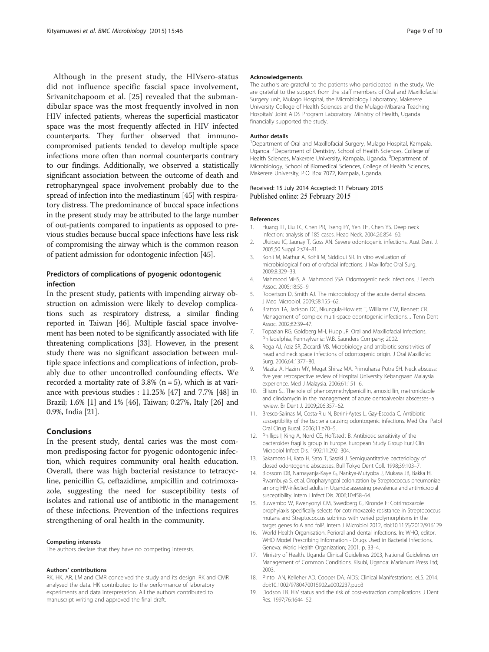<span id="page-8-0"></span>Although in the present study, the HIVsero-status did not influence specific fascial space involvement, Srivanitchapoom et al. [\[25](#page-9-0)] revealed that the submandibular space was the most frequently involved in non HIV infected patients, whereas the superficial masticator space was the most frequently affected in HIV infected counterparts. They further observed that immunocompromised patients tended to develop multiple space infections more often than normal counterparts contrary to our findings. Additionally, we observed a statistically significant association between the outcome of death and retropharyngeal space involvement probably due to the spread of infection into the mediastinum [[45](#page-9-0)] with respiratory distress. The predominance of buccal space infections in the present study may be attributed to the large number of out-patients compared to inpatients as opposed to previous studies because buccal space infections have less risk of compromising the airway which is the common reason of patient admission for odontogenic infection [\[45\]](#page-9-0).

## Predictors of complications of pyogenic odontogenic infection

In the present study, patients with impending airway obstruction on admission were likely to develop complications such as respiratory distress, a similar finding reported in Taiwan [[46](#page-9-0)]. Multiple fascial space involvement has been noted to be significantly associated with life threatening complications [\[33\]](#page-9-0). However, in the present study there was no significant association between multiple space infections and complications of infection, probably due to other uncontrolled confounding effects. We recorded a mortality rate of  $3.8\%$  (n = 5), which is at variance with previous studies : 11.25% [\[47](#page-9-0)] and 7.7% [[48](#page-9-0)] in Brazil; 1.6% [1] and 1% [\[46\]](#page-9-0), Taiwan; 0.27%, Italy [[26](#page-9-0)] and 0.9%, India [[21](#page-9-0)].

#### Conclusions

In the present study, dental caries was the most common predisposing factor for pyogenic odontogenic infection, which requires community oral health education. Overall, there was high bacterial resistance to tetracycline, penicillin G, ceftazidime, ampicillin and cotrimoxazole, suggesting the need for susceptibility tests of isolates and rational use of antibiotic in the management of these infections. Prevention of the infections requires strengthening of oral health in the community.

#### Competing interests

The authors declare that they have no competing interests.

#### Authors' contributions

RK, HK, AR, LM and CMR conceived the study and its design. RK and CMR analysed the data. HK contributed to the performance of laboratory experiments and data interpretation. All the authors contributed to manuscript writing and approved the final draft.

#### Acknowledgements

The authors are grateful to the patients who participated in the study. We are grateful to the support from the staff members of Oral and Maxillofacial Surgery unit, Mulago Hospital, the Microbiology Laboratory, Makerere University College of Health Sciences and the Mulago-Mbarara Teaching Hospitals' Joint AIDS Program Laboratory. Ministry of Health, Uganda financially supported the study.

#### Author details

<sup>1</sup>Department of Oral and Maxillofacial Surgery, Mulago Hospital, Kampala Uganda. <sup>2</sup>Department of Dentistry, School of Health Sciences, College of Health Sciences, Makerere University, Kampala, Uganda. <sup>3</sup>Department of Microbiology, School of Biomedical Sciences, College of Health Sciences, Makerere University, P.O. Box 7072, Kampala, Uganda.

#### Received: 15 July 2014 Accepted: 11 February 2015 Published online: 25 February 2015

#### References

- 1. Huang TT, Liu TC, Chen PR, Tseng FY, Yeh TH, Chen YS. Deep neck infection: analysis of 185 cases. Head Neck. 2004;26:854–60.
- 2. Uluibau IC, Jaunay T, Goss AN. Severe odontogenic infections. Aust Dent J. 2005;50 Suppl 2:s74–81.
- 3. Kohli M, Mathur A, Kohli M, Siddiqui SR. In vitro evaluation of microbiological flora of orofacial infections. J Maxillofac Oral Surg. 2009;8:329–33.
- 4. Mahmood MHS, Al Mahmood SSA. Odontogenic neck infections. J Teach Assoc. 2005;18:55–9.
- 5. Robertson D, Smith AJ. The microbiology of the acute dental abscess. J Med Microbiol. 2009;58:155–62.
- 6. Bratton TA, Jackson DC, Nkungula-Howlett T, Williams CW, Bennett CR. Management of complex multi-space odontogenic infections. J Tenn Dent Assoc. 2002;82:39–47.
- 7. Topazian RG, Goldberg MH, Hupp JR. Oral and Maxillofacial Infections. Philadelphia, Pennsylvania: W.B. Saunders Company; 2002.
- 8. Rega AJ, Aziz SR, Ziccardi VB. Microbiology and antibiotic sensitivities of head and neck space infections of odontogenic origin. J Oral Maxillofac Surg. 2006;64:1377–80.
- 9. Mazita A, Hazim MY, Megat Shiraz MA, Primuharsa Putra SH. Neck abscess: five year retrospective review of Hospital University Kebangsaan Malaysia experience. Med J Malaysia. 2006;61:151–6.
- 10. Ellison SJ. The role of phenoxymethylpenicillin, amoxicillin, metronidazole and clindamycin in the management of acute dentoalveolar abscesses–a review. Br Dent J. 2009;206:357–62.
- 11. Bresco-Salinas M, Costa-Riu N, Berini-Aytes L, Gay-Escoda C. Antibiotic susceptibility of the bacteria causing odontogenic infections. Med Oral Patol Oral Cirug Bucal. 2006;11:e70–5.
- 12. Phillips I, King A, Nord CE, Hoffstedt B. Antibiotic sensitivity of the bacteroides fragilis group in Europe. European Study Group EurJ Clin Microbiol Infect Dis. 1992;11:292–304.
- 13. Sakamoto H, Kato H, Sato T, Sasaki J. Semiquantitative bacteriology of closed odontogenic abscesses. Bull Tokyo Dent Coll. 1998;39:103–7.
- 14. Blossom DB, Namayanja-Kaye G, Nankya-Mutyoba J, Mukasa JB, Bakka H, Rwambuya S, et al. Oropharyngeal colonization by Streptococcus pneumoniae among HIV-infected adults in Uganda: assessing prevalence and antimicrobial susceptibility. Intern J Infect Dis. 2006;10:458–64.
- 15. Buwembo W, Rwenyonyi CM, Swedberg G, Kironde F: Cotrimoxazole prophylaxis specifically selects for cotrimoxazole resistance in Streptococcus mutans and Streptococcus sobrinus with varied polymorphisms in the target genes folA and folP. Intern J Microbiol 2012, doi:10.1155/2012/916129
- 16. World Health Organisation. Perioral and dental infections. In: WHO, editor. WHO Model Prescribing Information - Drugs Used in Bacterial Infections. Geneva: World Health Organization; 2001. p. 33–4.
- 17. Ministry of Health. Uganda Clinical Guidelines 2003, National Guidelines on Management of Common Conditions. Kisubi, Uganda: Marianum Press Ltd; 2003.
- 18. Pinto AN, Kelleher AD, Cooper DA. AIDS: Clinical Manifestations. eLS. 2014. doi:10.1002/9780470015902.a0002237.pub3
- 19. Dodson TB. HIV status and the risk of post-extraction complications. J Dent Res. 1997;76:1644–52.